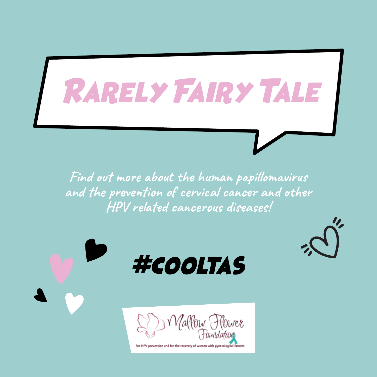# Rarely Fairy Tale

**Find out more about the human papillomavirus and the prevention of cervical cancer and other HPV related cancerous diseases!**

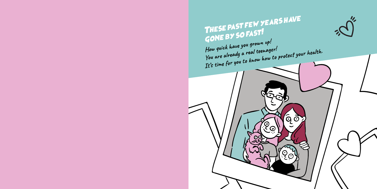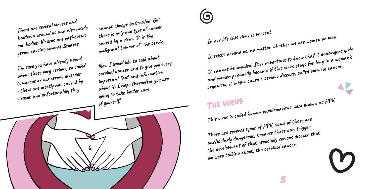**There are several viruses and bacteria around us and also inside our bodies. Viruses are pathogenic germs causing several diseases.** 

**I'm sure you have already heard about those very serious, so called tumorous or cancerous diseases - these are mostly not caused by viruses and unfortunately they** 

6

**cannot always be treated. But there is only one type of cancer caused by a virus. It is the malignant tumour of the cervix.** 

**Now I would like to talk about cervical cancer and to give you every important fact and information about it. I hope thereafter you are going to take better care of yourself!**

**In our life this virus is present. It exists around us, no matter whether we are women or men. It cannot be avoided. It is important to know that it endangers girls and women primarily because if this virus stays for long in a woman's organism, it might cause a serious disease, called cervical cancer.** 

The virus **This virus is called human papillomavirus, also known as HPV. There are several types of HPV, some of those are particularly dangerous, because those can trigger the development of that especially serious disease that we were talking about, the cervical cancer.** 

4 5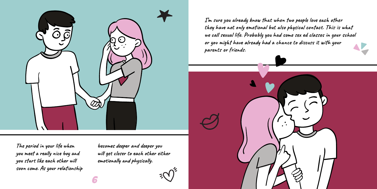

**The period in your life when you meet a really nice boy and you start like each other will soon come. As your relationship** 

**becomes deeper and deeper you will get closer to each other either emotionally and physically.** 

**I'm sure you already know that when two people love each other they have not only emotional but also physical contact. This is what we call sexual life. Probably you had some sex ed classes in your school or you might have already had a chance to discuss it with your parents or friends.** 

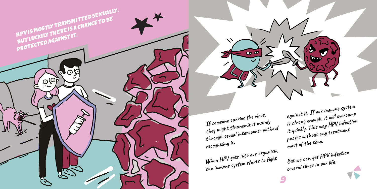

**through sexual intercourse without recognizing it. When HPV gets into our organism, the immune system starts to fight** 

 $\blacktriangledown$ 

 $\bullet$ 

**most of the time. But we can get HPV infection several times in our life.** 

**against it. If our immune system is strong enough, it will overcome it quickly. This way HPV infection passes without any treatment**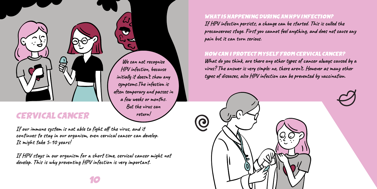CERVICAL CANCER

**If our immune system is not able to fight off the virus, and it continues to stay in our organism, even cervical cancer can develop. It might take 5-10 years!** 

**If HPV stays in our organism for a short time, cervical cancer might not develop. This is why preventing HPV infection is very important.**

**We can not recognize HPV infection, because initially it doesn't show any symptoms.The infection is often temporary and passes in a few weeks or months. But the virus can return!** 

WHAT IS HAPPENING DURING AN HPV INFECTION?

**If HPV infection persists, a change can be started. This is called the precancerous stage. First you cannot feel anything, and does not cause any pain but it can turn serious.** 

# HOW CAN I PROTECT MYSELF FROM CERVICAL CANCER?

**What do you think, are there any other types of cancer always caused by a virus? The answer is very simple: no, there aren't. However as many other types of diseases, also HPV infection can be prevented by vaccination.** 

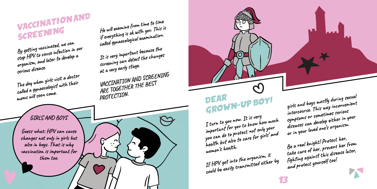**could be easily transmitted either by** 

**Be a real knight! Protect her, take care of her, prevent her from fighting against this disease later, and protect yourself too!**

**intercourse. This way inconvenient symptoms or sometimes serious diseases can develop either in your or in your loved one's organism.** 

**girls and boys mostly during sexual** 

Ő

DEAR GROWN-UP BOY!

**important for you to know how much you can do to protect not only your health but also to care for girls' and** 

**If HPV got into the organism, it** 

**I turn to you now. It is very** 

**women's health.** 

**By getting vaccinated, we can stop HPV to cause infection in our organism, and later to develop a He will examine from time to time if everything is ok with you. This is called gynaecological examination. It is very important because the screening can detect the changes at a very early stage.** 

VACCINATION AND SCREENING

> **a** ြ 12 13

**PROTECTION.** 

**VACCINATION AND SCREENING** 

**ARE TOGETHER THE BEST** 

**GIRLS AND BOYS** 

**The day when girls visit a doctor called a gynaecologist with their** 

**serious disease.**

**moms will soon come.** 

**Guess what: HPV can cause changes not only in girls but also in boys. That is why vaccination is important for them too.**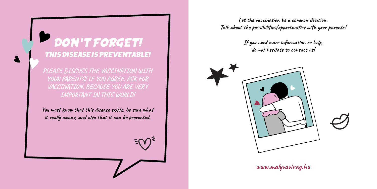# DON'T FORGET! THIS DISEASE IS PREVENTABLE!

**PLEASE DISCUSS THE VACCINATION WITH YOUR PARENTS! IF YOU AGREE, ASK FOR VACCINATION, BECAUSE YOU ARE VERY IMPORTANT IN THIS WORLD!** 

**You must know that this disease exists, be sure what it really means, and also that it can be prevented.**

**Let the vaccination be a common decision. Talk about the possibilities/opportunities with your parents!** 

> **If you need more information or help, do not hesitate to contact us!**



**www.malyvavirag.hu**